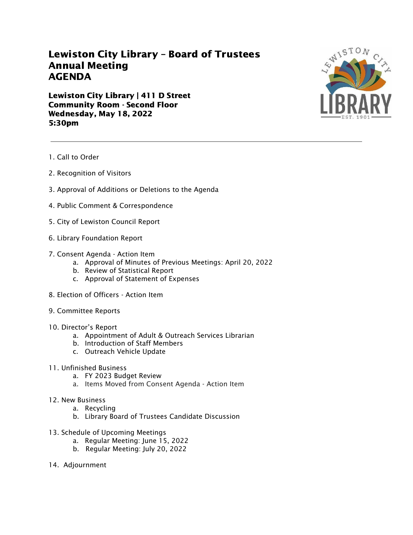## Lewiston City Library – Board of Trustees Annual Meeting AGENDA

Lewiston City Library | 411 D Street Community Room - Second Floor Wednesday, May 18, 2022 5:30pm



- 1. Call to Order
- 2. Recognition of Visitors
- 3. Approval of Additions or Deletions to the Agenda
- 4. Public Comment & Correspondence
- 5. City of Lewiston Council Report
- 6. Library Foundation Report
- 7. Consent Agenda Action Item
	- a. Approval of Minutes of Previous Meetings: April 20, 2022
	- b. Review of Statistical Report
	- c. Approval of Statement of Expenses
- 8. Election of Officers Action Item
- 9. Committee Reports
- 10. Director's Report
	- a. Appointment of Adult & Outreach Services Librarian
	- b. Introduction of Staff Members
	- c. Outreach Vehicle Update
- 11. Unfinished Business
	- a. FY 2023 Budget Review
	- a. Items Moved from Consent Agenda Action Item
- 12. New Business
	- a. Recycling
	- b. Library Board of Trustees Candidate Discussion
- 13. Schedule of Upcoming Meetings
	- a. Regular Meeting: June 15, 2022
	- b. Regular Meeting: July 20, 2022
- 14. Adjournment